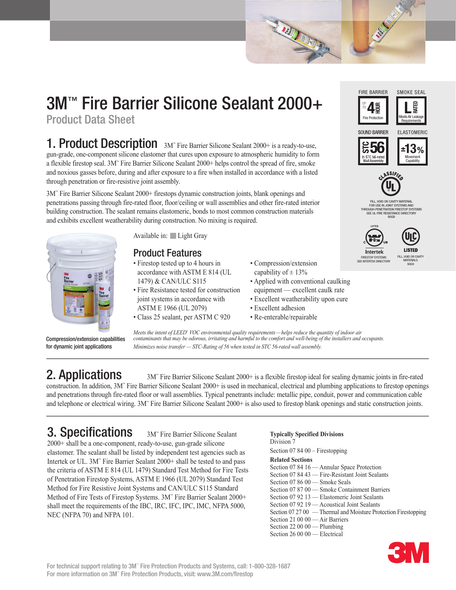# 3M™ Fire Barrier Silicone Sealant 2000+

Product Data Sheet

1. Product Description 3M" Fire Barrier Silicone Sealant 2000+ is a ready-to-use, gun-grade, one-component silicone elastomer that cures upon exposure to atmospheric humidity to form a flexible firestop seal. 3M™ Fire Barrier Silicone Sealant 2000+ helps control the spread of fire, smoke and noxious gasses before, during and after exposure to a fire when installed in accordance with a listed through penetration or fire-resistive joint assembly.

3M™ Fire Barrier Silicone Sealant 2000+ firestops dynamic construction joints, blank openings and penetrations passing through fire-rated floor, floor/ceiling or wall assemblies and other fire-rated interior building construction. The sealant remains elastomeric, bonds to most common construction materials and exhibits excellent weatherability during construction. No mixing is required.



Compression/extension capabilities for dynamic joint applications

Available in: Light Gray

### Product Features

- Firestop tested up to 4 hours in accordance with ASTM E 814 (UL 1479) & CAN/ULC S115
- Fire Resistance tested for construction joint systems in accordance with ASTM E 1966 (UL 2079)
- Class 25 sealant, per ASTM C 920
- Compression/extension capability of  $\pm$  13%
- Applied with conventional caulking equipment — excellent caulk rate

**ALD ANNAR** 

- Excellent weatherability upon cure
- Excellent adhesion
- Re-enterable/repairable

*Meets the intent of LEED® VOC environmental quality requirements—helps reduce the quantity of indoor air contaminants that may be odorous, irritating and harmful to the comfort and well-being of the installers and occupants. Minimizes noise transfer — STC-Rating of 56 when tested in STC 56-rated wall assembly.*

### 2. Applications

 Fire Barrier Silicone Sealant 2000+ is a flexible firestop ideal for sealing dynamic joints in fire-rated construction. In addition, 3M™ Fire Barrier Silicone Sealant 2000+ is used in mechanical, electrical and plumbing applications to firestop openings and penetrations through fire-rated floor or wall assemblies. Typical penetrants include: metallic pipe, conduit, power and communication cable and telephone or electrical wiring. 3M™ Fire Barrier Silicone Sealant 2000+ is also used to firestop blank openings and static construction joints.

## 3. Specifications

3M<sup>™</sup> Fire Barrier Silicone Sealant 2000+ shall be a one-component, ready-to-use, gun-grade silicone elastomer. The sealant shall be listed by independent test agencies such as Intertek or UL. 3M™ Fire Barrier Sealant 2000+ shall be tested to and pass the criteria of ASTM E 814 (UL 1479) Standard Test Method for Fire Tests of Penetration Firestop Systems, ASTM E 1966 (UL 2079) Standard Test Method for Fire Resistive Joint Systems and CAN/ULC S115 Standard Method of Fire Tests of Firestop Systems. 3M™ Fire Barrier Sealant 2000+ shall meet the requirements of the IBC, IRC, IFC, IPC, IMC, NFPA 5000, NEC (NFPA 70) and NFPA 101.

#### **Typically Specified Divisions** Division<sub>7</sub>

Section 07 84 00 – Firestopping

**Related Sections**

Section 07 84 16 — Annular Space Protection Section 07 84 43 — Fire-Resistant Joint Sealants Section 07 86 00 — Smoke Seals Section 07 87 00 — Smoke Containment Barriers Section 07 92 13 — Elastomeric Joint Sealants Section 07 92 19 — Acoustical Joint Sealants Section 07 27 00 — Thermal and Moisture Protection Firestopping Section 21 00 00 - Air Barriers Section 22 00 00 — Plumbing Section 26 00 00 — Electrical













Intertek FIRESTOP SYSTEMS SEE INTERTEK DIRECTORY

FILL, VOID OR CAVITY MATFRIAL FOR USE IN JOINT SYSTEMS AND